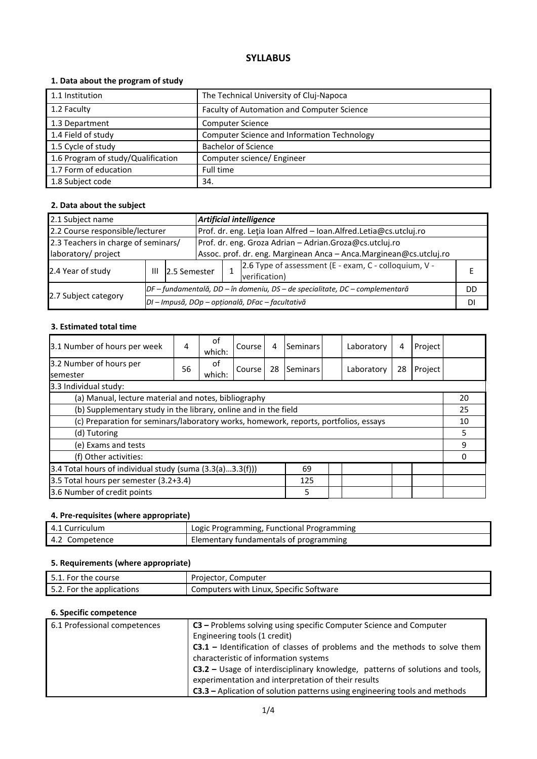# **SYLLABUS**

# **1. Data about the program of study**

| 1.1 Institution                    | The Technical University of Cluj-Napoca     |
|------------------------------------|---------------------------------------------|
| 1.2 Faculty                        | Faculty of Automation and Computer Science  |
| 1.3 Department                     | <b>Computer Science</b>                     |
| 1.4 Field of study                 | Computer Science and Information Technology |
| 1.5 Cycle of study                 | <b>Bachelor of Science</b>                  |
| 1.6 Program of study/Qualification | Computer science/ Engineer                  |
| 1.7 Form of education              | Full time                                   |
| 1.8 Subject code                   | 34.                                         |

### **2. Data about the subject**

| <b>Artificial intelligence</b><br>2.1 Subject name                                             |   |                                                                              |                                                                     |                                                                   |                                                                        |    |  |  |
|------------------------------------------------------------------------------------------------|---|------------------------------------------------------------------------------|---------------------------------------------------------------------|-------------------------------------------------------------------|------------------------------------------------------------------------|----|--|--|
| 2.2 Course responsible/lecturer                                                                |   |                                                                              |                                                                     | Prof. dr. eng. Letia Ioan Alfred - Ioan.Alfred.Letia@cs.utcluj.ro |                                                                        |    |  |  |
| 2.3 Teachers in charge of seminars/<br>Prof. dr. eng. Groza Adrian - Adrian.Groza@cs.utcluj.ro |   |                                                                              |                                                                     |                                                                   |                                                                        |    |  |  |
| laboratory/ project                                                                            |   |                                                                              | Assoc. prof. dr. eng. Marginean Anca - Anca. Marginean@cs.utcluj.ro |                                                                   |                                                                        |    |  |  |
| 2.4 Year of study                                                                              | Ш | 2.5 Semester                                                                 |                                                                     |                                                                   | 2.6 Type of assessment (E - exam, C - colloquium, V -<br>verification) |    |  |  |
|                                                                                                |   | DF - fundamentală, DD - în domeniu, DS - de specialitate, DC - complementară |                                                                     |                                                                   |                                                                        | DD |  |  |
| 2.7 Subject category                                                                           |   | DI - Impusă, DOp - opțională, DFac - facultativă                             |                                                                     |                                                                   |                                                                        | DI |  |  |

#### **3. Estimated total time**

| 3.1 Number of hours per week                                                         | 4  | of<br>which: | Course | 4  | Seminars |    | Laboratory | 4  | Project |    |
|--------------------------------------------------------------------------------------|----|--------------|--------|----|----------|----|------------|----|---------|----|
| 3.2 Number of hours per                                                              | 56 | 0f           | Course | 28 | Seminars |    | Laboratory | 28 | Project |    |
| <b>semester</b>                                                                      |    | which:       |        |    |          |    |            |    |         |    |
| 3.3 Individual study:                                                                |    |              |        |    |          |    |            |    |         |    |
| (a) Manual, lecture material and notes, bibliography                                 |    |              |        |    |          |    |            |    |         | 20 |
| (b) Supplementary study in the library, online and in the field                      |    |              |        |    |          | 25 |            |    |         |    |
| (c) Preparation for seminars/laboratory works, homework, reports, portfolios, essays |    |              |        |    |          |    | 10         |    |         |    |
| (d) Tutoring                                                                         |    |              |        |    |          | 5  |            |    |         |    |
| (e) Exams and tests                                                                  |    |              |        |    |          |    | 9          |    |         |    |
| (f) Other activities:                                                                |    |              |        |    |          |    | n          |    |         |    |
| 3.4 Total hours of individual study (suma $(3.3(a)3.3(f)))$<br>69                    |    |              |        |    |          |    |            |    |         |    |
| 3.5 Total hours per semester (3.2+3.4)<br>125                                        |    |              |        |    |          |    |            |    |         |    |
| 3.6 Number of credit points<br>5                                                     |    |              |        |    |          |    |            |    |         |    |

#### **4. Pre-requisites (where appropriate)**

| 4.1 Curriculum | Logic Programming, Functional Programming |
|----------------|-------------------------------------------|
| 4.2 Competence | Elementary fundamentals of programming    |

### **5. Requirements (where appropriate)**

| 5.1. For the course       | Projector, Computer                     |
|---------------------------|-----------------------------------------|
| 5.2. For the applications | Computers with Linux, Specific Software |

## **6. Specific competence**

| 6.1 Professional competences | C3 – Problems solving using specific Computer Science and Computer                   |
|------------------------------|--------------------------------------------------------------------------------------|
|                              | Engineering tools (1 credit)                                                         |
|                              | <b>C3.1</b> – Identification of classes of problems and the methods to solve them    |
|                              | characteristic of information systems                                                |
|                              | <b>C3.2</b> – Usage of interdisciplinary knowledge, patterns of solutions and tools, |
|                              | experimentation and interpretation of their results                                  |
|                              | C3.3 - Aplication of solution patterns using engineering tools and methods           |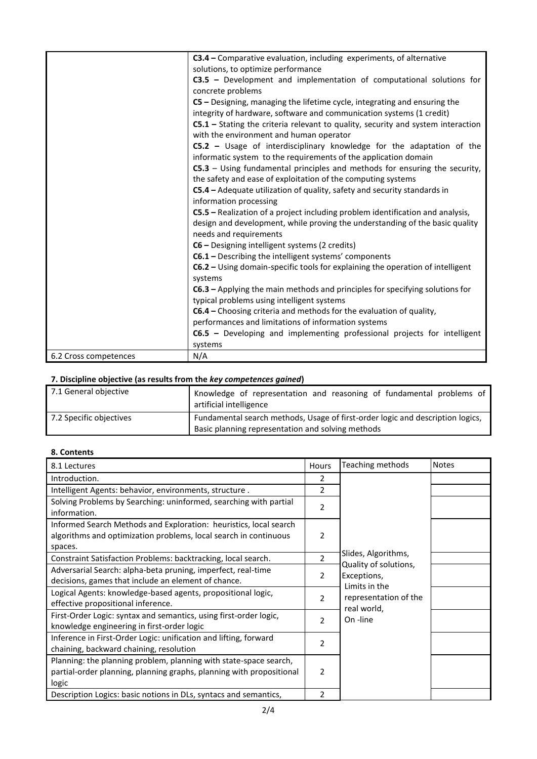|                       | C3.4 – Comparative evaluation, including experiments, of alternative               |
|-----------------------|------------------------------------------------------------------------------------|
|                       | solutions, to optimize performance                                                 |
|                       | $C3.5$ – Development and implementation of computational solutions for             |
|                       | concrete problems                                                                  |
|                       | $CS$ – Designing, managing the lifetime cycle, integrating and ensuring the        |
|                       | integrity of hardware, software and communication systems (1 credit)               |
|                       | $C5.1$ – Stating the criteria relevant to quality, security and system interaction |
|                       | with the environment and human operator                                            |
|                       | C5.2 - Usage of interdisciplinary knowledge for the adaptation of the              |
|                       | informatic system to the requirements of the application domain                    |
|                       | $CS.3$ – Using fundamental principles and methods for ensuring the security,       |
|                       | the safety and ease of exploitation of the computing systems                       |
|                       | C5.4 - Adequate utilization of quality, safety and security standards in           |
|                       | information processing                                                             |
|                       | C5.5 – Realization of a project including problem identification and analysis,     |
|                       | design and development, while proving the understanding of the basic quality       |
|                       | needs and requirements                                                             |
|                       | C6 - Designing intelligent systems (2 credits)                                     |
|                       | C6.1 - Describing the intelligent systems' components                              |
|                       | C6.2 - Using domain-specific tools for explaining the operation of intelligent     |
|                       | systems                                                                            |
|                       | $C6.3$ – Applying the main methods and principles for specifying solutions for     |
|                       | typical problems using intelligent systems                                         |
|                       | C6.4 – Choosing criteria and methods for the evaluation of quality,                |
|                       | performances and limitations of information systems                                |
|                       | C6.5 - Developing and implementing professional projects for intelligent           |
|                       | systems                                                                            |
| 6.2 Cross competences | N/A                                                                                |

#### **7. Discipline objective (as results from the** *key competences gained***)**

| 7.1 General objective   | Knowledge of representation and reasoning of fundamental problems of<br>artificial intelligence                                     |
|-------------------------|-------------------------------------------------------------------------------------------------------------------------------------|
| 7.2 Specific objectives | Fundamental search methods, Usage of first-order logic and description logics,<br>Basic planning representation and solving methods |
|                         |                                                                                                                                     |

# **8. Contents**

| 8.1 Lectures                                                         | <b>Hours</b>   | Teaching methods             | <b>Notes</b> |
|----------------------------------------------------------------------|----------------|------------------------------|--------------|
| Introduction.                                                        | 2              |                              |              |
| Intelligent Agents: behavior, environments, structure.               | 2              |                              |              |
| Solving Problems by Searching: uninformed, searching with partial    | $\overline{2}$ |                              |              |
| information.                                                         |                |                              |              |
| Informed Search Methods and Exploration: heuristics, local search    |                |                              |              |
| algorithms and optimization problems, local search in continuous     | 2              |                              |              |
| spaces.                                                              |                |                              |              |
| Constraint Satisfaction Problems: backtracking, local search.        | $\overline{2}$ | Slides, Algorithms,          |              |
| Adversarial Search: alpha-beta pruning, imperfect, real-time         | $\overline{2}$ | Quality of solutions,        |              |
| decisions, games that include an element of chance.                  |                | Exceptions,<br>Limits in the |              |
| Logical Agents: knowledge-based agents, propositional logic,         | $\overline{2}$ | representation of the        |              |
| effective propositional inference.                                   |                | real world,                  |              |
| First-Order Logic: syntax and semantics, using first-order logic,    | $\overline{2}$ | On -line                     |              |
| knowledge engineering in first-order logic                           |                |                              |              |
| Inference in First-Order Logic: unification and lifting, forward     | 2              |                              |              |
| chaining, backward chaining, resolution                              |                |                              |              |
| Planning: the planning problem, planning with state-space search,    |                |                              |              |
| partial-order planning, planning graphs, planning with propositional | 2              |                              |              |
| logic                                                                |                |                              |              |
| Description Logics: basic notions in DLs, syntacs and semantics,     | $\mathcal{P}$  |                              |              |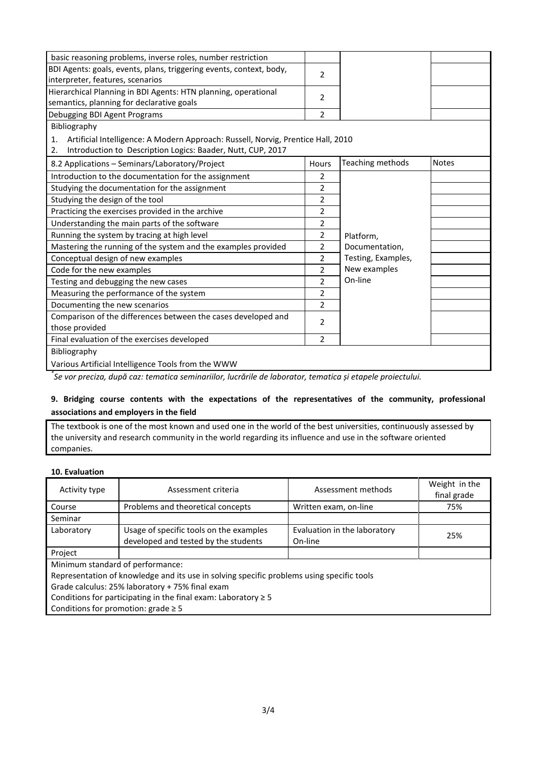| basic reasoning problems, inverse roles, number restriction                            |                |                    |              |
|----------------------------------------------------------------------------------------|----------------|--------------------|--------------|
| BDI Agents: goals, events, plans, triggering events, context, body,                    |                |                    |              |
| interpreter, features, scenarios                                                       | $\overline{2}$ |                    |              |
| Hierarchical Planning in BDI Agents: HTN planning, operational                         | $\overline{2}$ |                    |              |
| semantics, planning for declarative goals                                              |                |                    |              |
| Debugging BDI Agent Programs                                                           | $\overline{2}$ |                    |              |
| Bibliography                                                                           |                |                    |              |
| Artificial Intelligence: A Modern Approach: Russell, Norvig, Prentice Hall, 2010<br>1. |                |                    |              |
| Introduction to Description Logics: Baader, Nutt, CUP, 2017<br>2.                      |                |                    |              |
| 8.2 Applications - Seminars/Laboratory/Project                                         | Hours          | Teaching methods   | <b>Notes</b> |
| Introduction to the documentation for the assignment                                   | $\overline{2}$ |                    |              |
| Studying the documentation for the assignment                                          | 2              |                    |              |
| Studying the design of the tool                                                        | 2              |                    |              |
| Practicing the exercises provided in the archive                                       | $\overline{2}$ |                    |              |
| Understanding the main parts of the software                                           | $\overline{2}$ |                    |              |
| Running the system by tracing at high level                                            | 2              | Platform,          |              |
| Mastering the running of the system and the examples provided                          | 2              | Documentation,     |              |
| Conceptual design of new examples                                                      | $\overline{2}$ | Testing, Examples, |              |
| Code for the new examples                                                              | $\overline{2}$ | New examples       |              |
| Testing and debugging the new cases                                                    | $\overline{2}$ | On-line            |              |
| Measuring the performance of the system                                                | $\overline{2}$ |                    |              |
| Documenting the new scenarios                                                          | $\overline{2}$ |                    |              |
| Comparison of the differences between the cases developed and                          | 2              |                    |              |
| those provided                                                                         |                |                    |              |
| Final evaluation of the exercises developed                                            | $\overline{2}$ |                    |              |
| Bibliography                                                                           |                |                    |              |
| Various Artificial Intelligence Tools from the WWW                                     |                |                    |              |

*\* Se vor preciza, după caz: tematica seminariilor, lucrările de laborator, tematica și etapele proiectului.*

## **9. Bridging course contents with the expectations of the representatives of the community, professional associations and employers in the field**

The textbook is one of the most known and used one in the world of the best universities, continuously assessed by the university and research community in the world regarding its influence and use in the software oriented companies.

### **10. Evaluation**

| Activity type                                                       | Assessment criteria                                                                       | Assessment methods           | Weight in the<br>final grade |  |  |  |  |
|---------------------------------------------------------------------|-------------------------------------------------------------------------------------------|------------------------------|------------------------------|--|--|--|--|
| Course                                                              | Problems and theoretical concepts                                                         | Written exam, on-line        | 75%                          |  |  |  |  |
| Seminar                                                             |                                                                                           |                              |                              |  |  |  |  |
| Laboratory                                                          | Usage of specific tools on the examples                                                   | Evaluation in the laboratory | 25%                          |  |  |  |  |
|                                                                     | developed and tested by the students                                                      | On-line                      |                              |  |  |  |  |
| Project                                                             |                                                                                           |                              |                              |  |  |  |  |
|                                                                     | Minimum standard of performance:                                                          |                              |                              |  |  |  |  |
|                                                                     | Representation of knowledge and its use in solving specific problems using specific tools |                              |                              |  |  |  |  |
| Grade calculus: 25% laboratory + 75% final exam                     |                                                                                           |                              |                              |  |  |  |  |
| Conditions for participating in the final exam: Laboratory $\geq 5$ |                                                                                           |                              |                              |  |  |  |  |
| Conditions for promotion: $grade \geq 5$                            |                                                                                           |                              |                              |  |  |  |  |